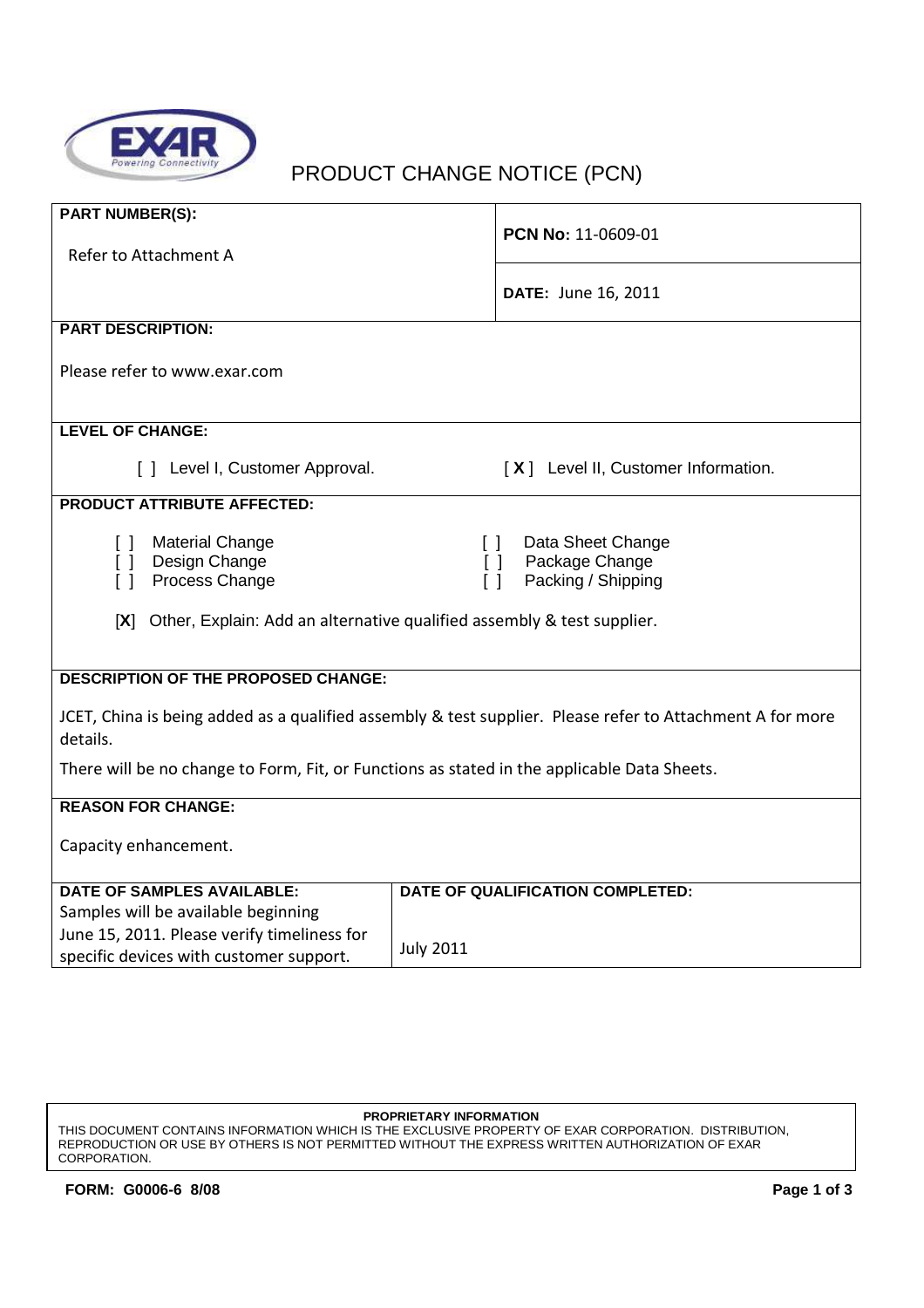

# PRODUCT CHANGE NOTICE (PCN)

| <b>PART NUMBER(S):</b>                                                                                    | PCN No: 11-0609-01                                                     |  |  |  |  |
|-----------------------------------------------------------------------------------------------------------|------------------------------------------------------------------------|--|--|--|--|
| Refer to Attachment A                                                                                     |                                                                        |  |  |  |  |
|                                                                                                           |                                                                        |  |  |  |  |
|                                                                                                           | DATE: June 16, 2011                                                    |  |  |  |  |
| <b>PART DESCRIPTION:</b>                                                                                  |                                                                        |  |  |  |  |
|                                                                                                           |                                                                        |  |  |  |  |
| Please refer to www.exar.com                                                                              |                                                                        |  |  |  |  |
|                                                                                                           |                                                                        |  |  |  |  |
| <b>LEVEL OF CHANGE:</b>                                                                                   |                                                                        |  |  |  |  |
| [] Level I, Customer Approval.<br>[X] Level II, Customer Information.                                     |                                                                        |  |  |  |  |
| <b>PRODUCT ATTRIBUTE AFFECTED:</b>                                                                        |                                                                        |  |  |  |  |
| <b>Material Change</b><br>$\mathsf{L}$                                                                    | Data Sheet Change<br>$\begin{smallmatrix} \end{smallmatrix}$           |  |  |  |  |
| Design Change<br>Package Change<br>$\Box$<br>ſΙ                                                           |                                                                        |  |  |  |  |
| Process Change<br>$\lceil$ 1                                                                              | Packing / Shipping<br>$\Box$                                           |  |  |  |  |
|                                                                                                           |                                                                        |  |  |  |  |
| [X]                                                                                                       | Other, Explain: Add an alternative qualified assembly & test supplier. |  |  |  |  |
|                                                                                                           |                                                                        |  |  |  |  |
| <b>DESCRIPTION OF THE PROPOSED CHANGE:</b>                                                                |                                                                        |  |  |  |  |
|                                                                                                           |                                                                        |  |  |  |  |
| JCET, China is being added as a qualified assembly & test supplier. Please refer to Attachment A for more |                                                                        |  |  |  |  |
| details.                                                                                                  |                                                                        |  |  |  |  |
| There will be no change to Form, Fit, or Functions as stated in the applicable Data Sheets.               |                                                                        |  |  |  |  |
| <b>REASON FOR CHANGE:</b>                                                                                 |                                                                        |  |  |  |  |
|                                                                                                           |                                                                        |  |  |  |  |
| Capacity enhancement.                                                                                     |                                                                        |  |  |  |  |
| <b>DATE OF SAMPLES AVAILABLE:</b>                                                                         | DATE OF QUALIFICATION COMPLETED:                                       |  |  |  |  |
| Samples will be available beginning                                                                       |                                                                        |  |  |  |  |
| June 15, 2011. Please verify timeliness for                                                               |                                                                        |  |  |  |  |
| specific devices with customer support.                                                                   | <b>July 2011</b>                                                       |  |  |  |  |

#### **PROPRIETARY INFORMATION**

THIS DOCUMENT CONTAINS INFORMATION WHICH IS THE EXCLUSIVE PROPERTY OF EXAR CORPORATION. DISTRIBUTION, REPRODUCTION OR USE BY OTHERS IS NOT PERMITTED WITHOUT THE EXPRESS WRITTEN AUTHORIZATION OF EXAR CORPORATION.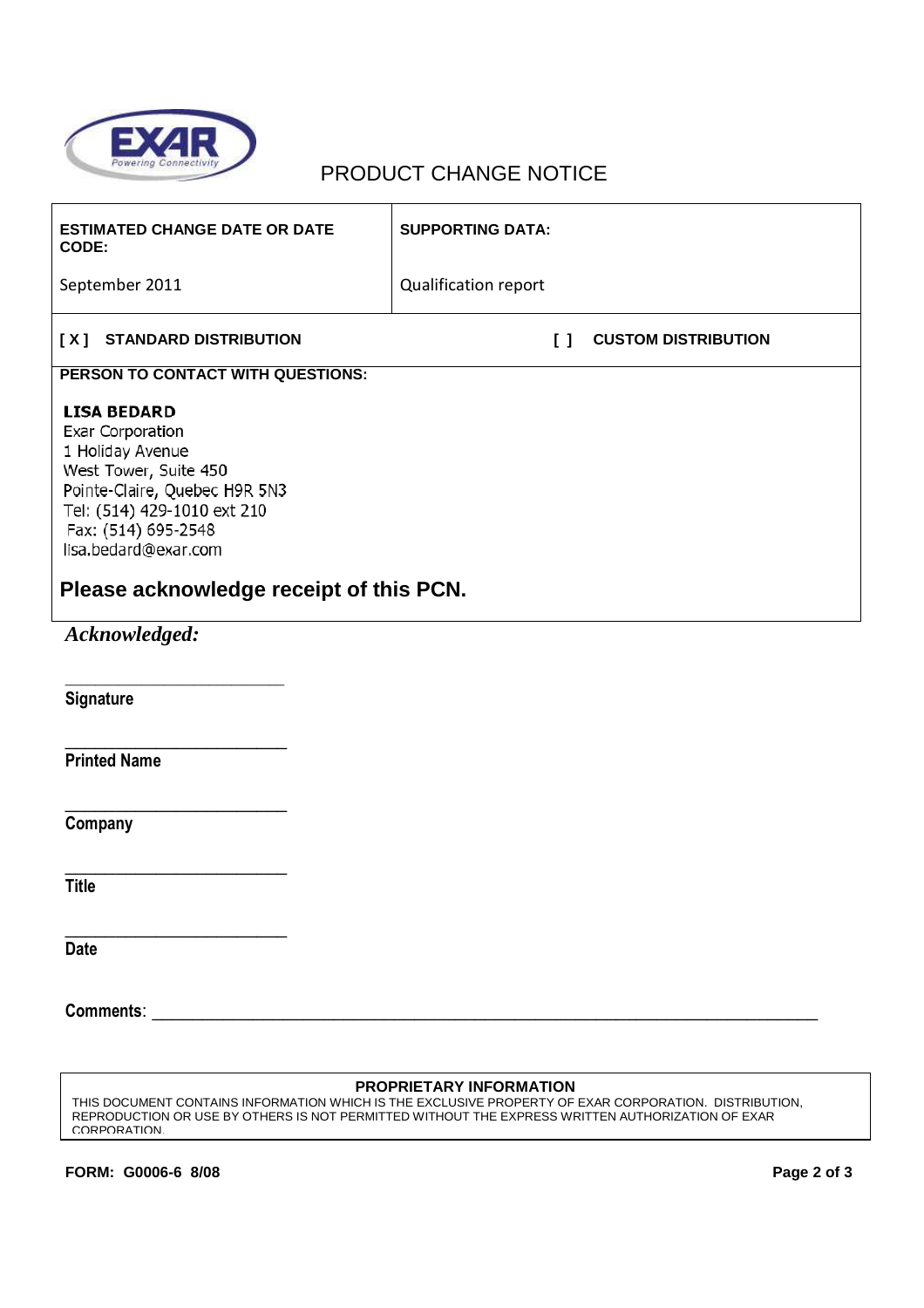

## PRODUCT CHANGE NOTICE

| <b>ESTIMATED CHANGE DATE OR DATE</b><br><b>CODE:</b>                                                                                                                                                                                                 | <b>SUPPORTING DATA:</b>                    |
|------------------------------------------------------------------------------------------------------------------------------------------------------------------------------------------------------------------------------------------------------|--------------------------------------------|
| September 2011                                                                                                                                                                                                                                       | Qualification report                       |
| <b>STANDARD DISTRIBUTION</b><br>[X]                                                                                                                                                                                                                  | <b>CUSTOM DISTRIBUTION</b><br>$\mathsf{I}$ |
| PERSON TO CONTACT WITH QUESTIONS:                                                                                                                                                                                                                    |                                            |
| <b>LISA BEDARD</b><br><b>Exar Corporation</b><br>1 Holiday Avenue<br>West Tower, Suite 450<br>Pointe-Claire, Quebec H9R 5N3<br>Tel: (514) 429-1010 ext 210<br>Fax: (514) 695-2548<br>lisa.bedard@exar.com<br>Please acknowledge receipt of this PCN. |                                            |
| Acknowledged:                                                                                                                                                                                                                                        |                                            |
| <b>Signature</b>                                                                                                                                                                                                                                     |                                            |
| <b>Printed Name</b>                                                                                                                                                                                                                                  |                                            |
| Company                                                                                                                                                                                                                                              |                                            |
| <b>Title</b>                                                                                                                                                                                                                                         |                                            |

**Title** 

**Date** 

**Comments:**  $\blacksquare$ 

### **PROPRIETARY INFORMATION**

THIS DOCUMENT CONTAINS INFORMATION WHICH IS THE EXCLUSIVE PROPERTY OF EXAR CORPORATION. DISTRIBUTION, REPRODUCTION OR USE BY OTHERS IS NOT PERMITTED WITHOUT THE EXPRESS WRITTEN AUTHORIZATION OF EXAR CORPORATION.

\_\_\_\_\_\_\_\_\_\_\_\_\_\_\_\_\_\_\_\_\_\_